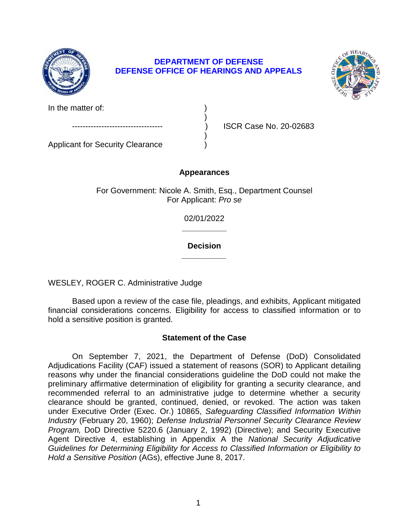

# **DEPARTMENT OF DEFENSE DEFENSE OFFICE OF HEARINGS AND APPEALS**

)



In the matter of:

ISCR Case No. 20-02683 )

Applicant for Security Clearance )

# **Appearances**

For Government: Nicole A. Smith, Esq., Department Counsel For Applicant: *Pro se* 

> **\_\_\_\_\_\_\_\_\_\_**  02/01/2022

> **\_\_\_\_\_\_\_\_\_\_ Decision**

WESLEY, ROGER C. Administrative Judge

 Based upon a review of the case file, pleadings, and exhibits, Applicant mitigated financial considerations concerns. Eligibility for access to classified information or to hold a sensitive position is granted.

# **Statement of the Case**

 On September 7, 2021, the Department of Defense (DoD) Consolidated Adjudications Facility (CAF) issued a statement of reasons (SOR) to Applicant detailing reasons why under the financial considerations guideline the DoD could not make the preliminary affirmative determination of eligibility for granting a security clearance, and recommended referral to an administrative judge to determine whether a security clearance should be granted, continued, denied, or revoked. The action was taken *Industry* (February 20, 1960); *Defense Industrial Personnel Security Clearance Review Program,* DoD Directive 5220.6 (January 2, 1992) (Directive); and Security Executive Agent Directive 4, establishing in Appendix A the *National Security Adjudicative Guidelines for Determining Eligibility for Access to Classified Information or Eligibility to*  under Executive Order (Exec. Or.) 10865, *Safeguarding Classified Information Within Hold a Sensitive Position* (AGs), effective June 8, 2017.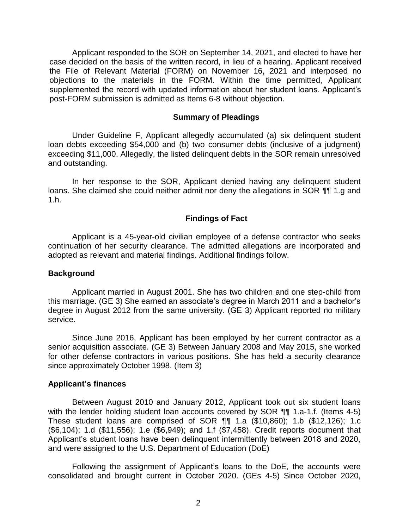Applicant responded to the SOR on September 14, 2021, and elected to have her case decided on the basis of the written record, in lieu of a hearing. Applicant received the File of Relevant Material (FORM) on November 16, 2021 and interposed no objections to the materials in the FORM. Within the time permitted, Applicant supplemented the record with updated information about her student loans. Applicant's post-FORM submission is admitted as Items 6-8 without objection.

#### **Summary of Pleadings**

 Under Guideline F, Applicant allegedly accumulated (a) six delinquent student loan debts exceeding \$54,000 and (b) two consumer debts (inclusive of a judgment) exceeding \$11,000. Allegedly, the listed delinquent debts in the SOR remain unresolved and outstanding.

 In her response to the SOR, Applicant denied having any delinquent student loans. She claimed she could neither admit nor deny the allegations in SOR ¶¶ 1.g and 1.h.

## **Findings of Fact**

 Applicant is a 45-year-old civilian employee of a defense contractor who seeks continuation of her security clearance. The admitted allegations are incorporated and adopted as relevant and material findings. Additional findings follow.

## **Background**

 Applicant married in August 2001. She has two children and one step-child from degree in August 2012 from the same university. (GE 3) Applicant reported no military this marriage. (GE 3) She earned an associate's degree in March 2011 and a bachelor's service.

 Since June 2016, Applicant has been employed by her current contractor as a senior acquisition associate. (GE 3) Between January 2008 and May 2015, she worked for other defense contractors in various positions. She has held a security clearance since approximately October 1998. (Item 3)

## **Applicant's finances**

Between August 2010 and January 2012, Applicant took out six student loans with the lender holding student loan accounts covered by SOR ¶¶ 1.a-1.f. (Items 4-5) These student loans are comprised of SOR ¶¶ 1.a (\$10,860); 1.b (\$12,126); 1.c (\$6,104); 1.d (\$11,556); 1.e (\$6,949); and 1.f (\$7,458). Credit reports document that Applicant's student loans have been delinquent intermittently between 2018 and 2020, and were assigned to the U.S. Department of Education (DoE)

 Following the assignment of Applicant's loans to the DoE, the accounts were consolidated and brought current in October 2020. (GEs 4-5) Since October 2020,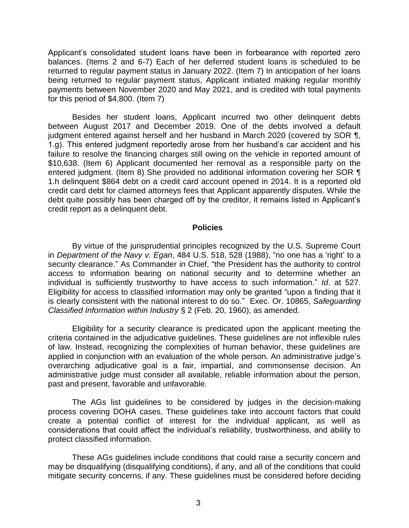Applicant's consolidated student loans have been in forbearance with reported zero balances. (Items 2 and 6-7) Each of her deferred student loans is scheduled to be returned to regular payment status in January 2022. (Item 7) In anticipation of her loans being returned to regular payment status, Applicant initiated making regular monthly payments between November 2020 and May 2021, and is credited with total payments for this period of \$4,800. (Item 7)

Besides her student loans, Applicant incurred two other delinquent debts between August 2017 and December 2019. One of the debts involved a default judgment entered against herself and her husband in March 2020 (covered by SOR ¶, 1.g). This entered judgment reportedly arose from her husband's car accident and his failure to resolve the financing charges still owing on the vehicle in reported amount of \$10,638. (Item 6) Applicant documented her removal as a responsible party on the entered judgment. (Item 8) She provided no additional information covering her SOR ¶ 1.h delinquent \$864 debt on a credit card account opened in 2014. It is a reported old credit card debt for claimed attorneys fees that Applicant apparently disputes. While the debt quite possibly has been charged off by the creditor, it remains listed in Applicant's credit report as a delinquent debt.

#### **Policies**

 By virtue of the jurisprudential principles recognized by the U.S. Supreme Court  in *Department of the Navy v. Egan*, 484 U.S. 518, 528 (1988), "no one has a 'right' to a security clearance." As Commander in Chief, "the President has the authority to control access to information bearing on national security and to determine whether an individual is sufficiently trustworthy to have access to such information." *Id*. at 527. Eligibility for access to classified information may only be granted "upon a finding that it is clearly consistent with the national interest to do so." Exec. Or. 10865, *Safeguarding*  Classified Information within Industry § 2 (Feb. 20, 1960), as amended.

*Classified Information within Industry* § 2 (Feb. 20, 1960), as amended.<br>Eligibility for a security clearance is predicated upon the applicant meeting the criteria contained in the adjudicative guidelines. These guidelines are not inflexible rules of law. Instead, recognizing the complexities of human behavior, these guidelines are applied in conjunction with an evaluation of the whole person. An administrative judge's overarching adjudicative goal is a fair, impartial, and commonsense decision. An administrative judge must consider all available, reliable information about the person, past and present, favorable and unfavorable.

 The AGs list guidelines to be considered by judges in the decision-making process covering DOHA cases. These guidelines take into account factors that could create a potential conflict of interest for the individual applicant, as well as considerations that could affect the individual's reliability, trustworthiness, and ability to protect classified information.

 These AGs guidelines include conditions that could raise a security concern and may be disqualifying (disqualifying conditions), if any, and all of the conditions that could mitigate security concerns, if any. These guidelines must be considered before deciding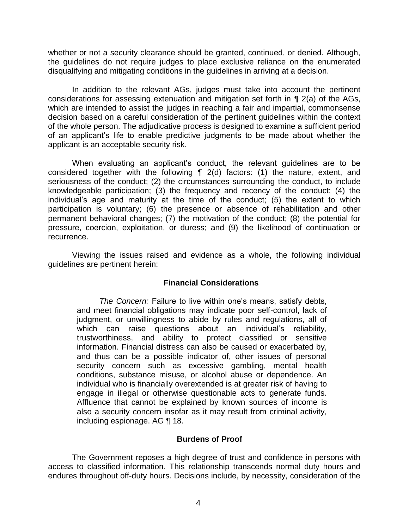whether or not a security clearance should be granted, continued, or denied. Although, the guidelines do not require judges to place exclusive reliance on the enumerated disqualifying and mitigating conditions in the guidelines in arriving at a decision.

In addition to the relevant AGs, judges must take into account the pertinent considerations for assessing extenuation and mitigation set forth in ¶ 2(a) of the AGs, which are intended to assist the judges in reaching a fair and impartial, commonsense decision based on a careful consideration of the pertinent guidelines within the context of the whole person. The adjudicative process is designed to examine a sufficient period of an applicant's life to enable predictive judgments to be made about whether the applicant is an acceptable security risk.

When evaluating an applicant's conduct, the relevant guidelines are to be considered together with the following ¶ 2(d) factors: (1) the nature, extent, and seriousness of the conduct; (2) the circumstances surrounding the conduct, to include knowledgeable participation; (3) the frequency and recency of the conduct; (4) the individual's age and maturity at the time of the conduct; (5) the extent to which participation is voluntary; (6) the presence or absence of rehabilitation and other permanent behavioral changes; (7) the motivation of the conduct; (8) the potential for pressure, coercion, exploitation, or duress; and (9) the likelihood of continuation or recurrence.

 Viewing the issues raised and evidence as a whole, the following individual guidelines are pertinent herein:

## **Financial Considerations**

 *The Concern:* Failure to live within one's means, satisfy debts, and meet financial obligations may indicate poor self-control, lack of judgment, or unwillingness to abide by rules and regulations, all of which can raise questions about an individual's reliability, trustworthiness, and ability to protect classified or sensitive information. Financial distress can also be caused or exacerbated by, and thus can be a possible indicator of, other issues of personal security concern such as excessive gambling, mental health conditions, substance misuse, or alcohol abuse or dependence. An individual who is financially overextended is at greater risk of having to engage in illegal or otherwise questionable acts to generate funds. Affluence that cannot be explained by known sources of income is also a security concern insofar as it may result from criminal activity, including espionage. AG ¶ 18.

## **Burdens of Proof**

 The Government reposes a high degree of trust and confidence in persons with access to classified information. This relationship transcends normal duty hours and endures throughout off-duty hours. Decisions include, by necessity, consideration of the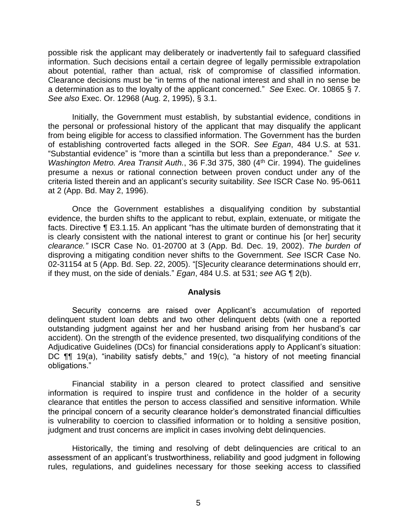possible risk the applicant may deliberately or inadvertently fail to safeguard classified information. Such decisions entail a certain degree of legally permissible extrapolation about potential, rather than actual, risk of compromise of classified information. Clearance decisions must be "in terms of the national interest and shall in no sense be a determination as to the loyalty of the applicant concerned." *See* Exec. Or. 10865 § 7. *See also* Exec. Or. 12968 (Aug. 2, 1995), § 3.1.

Initially, the Government must establish, by substantial evidence, conditions in the personal or professional history of the applicant that may disqualify the applicant from being eligible for access to classified information. The Government has the burden of establishing controverted facts alleged in the SOR. *See Egan*, 484 U.S. at 531. "Substantial evidence" is "more than a scintilla but less than a preponderance." *See v. Washington Metro. Area Transit Auth.*, 36 F.3d 375, 380 (4<sup>th</sup> Cir. 1994). The guidelines presume a nexus or rational connection between proven conduct under any of the criteria listed therein and an applicant's security suitability. *See* ISCR Case No. 95-0611 at 2 (App. Bd. May 2, 1996).

 Once the Government establishes a disqualifying condition by substantial evidence, the burden shifts to the applicant to rebut, explain, extenuate, or mitigate the facts. Directive ¶ E3.1.15. An applicant "has the ultimate burden of demonstrating that it is clearly consistent with the national interest to grant or continue his [or her] security *clearance."* ISCR Case No. 01-20700 at 3 (App. Bd. Dec. 19, 2002). *The burden of*  disproving a mitigating condition never shifts to the Government. *See* ISCR Case No. 02-31154 at 5 (App. Bd. Sep. 22, 2005). "[S]ecurity clearance determinations should err, if they must, on the side of denials." *Egan*, 484 U.S. at 531; *see* AG ¶ 2(b).

#### **Analysis**

 Security concerns are raised over Applicant's accumulation of reported delinquent student loan debts and two other delinquent debts (with one a reported outstanding judgment against her and her husband arising from her husband's car accident). On the strength of the evidence presented, two disqualifying conditions of the Adjudicative Guidelines (DCs) for financial considerations apply to Applicant's situation: DC ¶¶ 19(a), "inability satisfy debts," and 19(c), "a history of not meeting financial obligations."

 Financial stability in a person cleared to protect classified and sensitive information is required to inspire trust and confidence in the holder of a security clearance that entitles the person to access classified and sensitive information. While the principal concern of a security clearance holder's demonstrated financial difficulties is vulnerability to coercion to classified information or to holding a sensitive position, judgment and trust concerns are implicit in cases involving debt delinquencies.

Historically, the timing and resolving of debt delinquencies are critical to an assessment of an applicant's trustworthiness, reliability and good judgment in following rules, regulations, and guidelines necessary for those seeking access to classified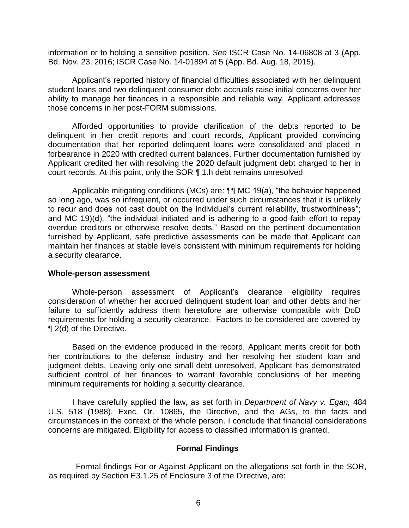information or to holding a sensitive position. *See* ISCR Case No. 14-06808 at 3 (App. Bd. Nov. 23, 2016; ISCR Case No. 14-01894 at 5 (App. Bd. Aug. 18, 2015).

 Applicant's reported history of financial difficulties associated with her delinquent student loans and two delinquent consumer debt accruals raise initial concerns over her ability to manage her finances in a responsible and reliable way. Applicant addresses those concerns in her post-FORM submissions.

 Afforded opportunities to provide clarification of the debts reported to be delinquent in her credit reports and court records, Applicant provided convincing documentation that her reported delinquent loans were consolidated and placed in forbearance in 2020 with credited current balances. Further documentation furnished by Applicant credited her with resolving the 2020 default judgment debt charged to her in court records. At this point, only the SOR ¶ 1.h debt remains unresolved

Applicable mitigating conditions (MCs) are: **¶¶** MC 19(a), "the behavior happened so long ago, was so infrequent, or occurred under such circumstances that it is unlikely to recur and does not cast doubt on the individual's current reliability, trustworthiness"; and MC 19)(d), "the individual initiated and is adhering to a good-faith effort to repay overdue creditors or otherwise resolve debts." Based on the pertinent documentation furnished by Applicant, safe predictive assessments can be made that Applicant can maintain her finances at stable levels consistent with minimum requirements for holding a security clearance.

#### **Whole-person assessment**

 Whole-person assessment of Applicant's clearance eligibility requires consideration of whether her accrued delinquent student loan and other debts and her failure to sufficiently address them heretofore are otherwise compatible with DoD requirements for holding a security clearance. Factors to be considered are covered by ¶ 2(d) of the Directive.

 Based on the evidence produced in the record, Applicant merits credit for both her contributions to the defense industry and her resolving her student loan and judgment debts. Leaving only one small debt unresolved, Applicant has demonstrated sufficient control of her finances to warrant favorable conclusions of her meeting minimum requirements for holding a security clearance.

I have carefully applied the law, as set forth in *Department of Navy v. Egan,* 484 U.S. 518 (1988), Exec. Or. 10865, the Directive, and the AGs, to the facts and circumstances in the context of the whole person. I conclude that financial considerations concerns are mitigated. Eligibility for access to classified information is granted.

## **Formal Findings**

 Formal findings For or Against Applicant on the allegations set forth in the SOR, as required by Section E3.1.25 of Enclosure 3 of the Directive, are: